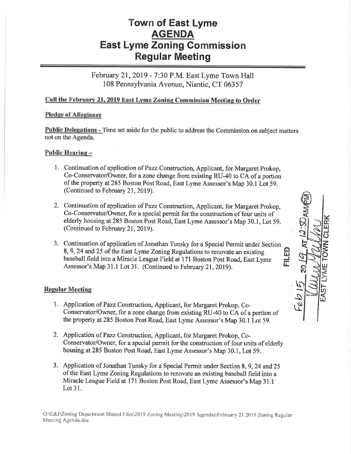# Town of East Lyme **AGENDA East Lyme Zoning Commission** Regular Meeting

February 21,2019 - 7:30 P.M. East Lyme Town Hall 108 Pennsylvania Avenue, Niantic, CT 06357

# Call the February 21, 2019 East Lyme Zoning Commission Meeting to Order

## Pledge of Allegiance

Public, Delegations - Time set aside for the public to address the Commission on subject matters not on the Agenda.

#### Public Hearing -

- 1. Continuation of application of Pazz Construction, Applicant, for Margaret Prokop, Co-Conservator/Owner, for a zone change from existing RU-40 to CA of a portion of the property at 285 Boston Post Road, East Lyme Assessor's Map 30.1 Lot 59. (Continued to February 21, 2019).
- 2. Continuation of application of Pazz Construction, Applicant, for Margaret Prokop, Co-Conservator/Owner, for a special permit for the construction of four units of elderly housing at285 Boston Post Road, East Lyme Assessor's Map 30.1, Lot 59. (Continued to February 21, 2019).
- 3. Continuation of application of Jonathan Tunsky for a Special Permit under Section 8,9,24 and25 of the East Lyme Zoning Regulations to renovate an existing baseball field into a Miracle League Field at 171 Boston Post Road, East Lyme Assessor's Map 31.1 Lot 31. (Continued to February 21, 2019).

o lJ..t J TL

 $\leq$  $\vec{\mathbf{r}}$ lrJ  $\vec{o}$ z **NK** o F [U

i<br>Fa

 $\mathbb{Z}$   $\mathbb{Z}$   $\mathbb{Z}$ 

'd

### **Regular Meeting**

- 1. Application of Pazz Construction, Applicant, for Margaret Prokop, Co-Conservator/Owner, for a zone change from existing RU-40 to CA of a portion of the property at 285 Boston Post Road, East Lyme Assessor's Map 30.1 Lot 59.
- 2. Application of Pazz Construction, Applicant, for Margaret Prokop, Co-Conservator/Owner, for a special permit for the construction of four units of elderly housing at285 Boston Post Road, East Lyme Assessor's Map 30.1, Lot 59.
- 3. Application of Jonathan Tunsky for a Special Permit under Section 8, 9, 24 and 25 of the East Lyme Zoning Regulations to renovate an existing baseball field into a Miracle League Field at 171 Boston Post Road, East Lyme Assessor's Map 31.1 Lot 31,